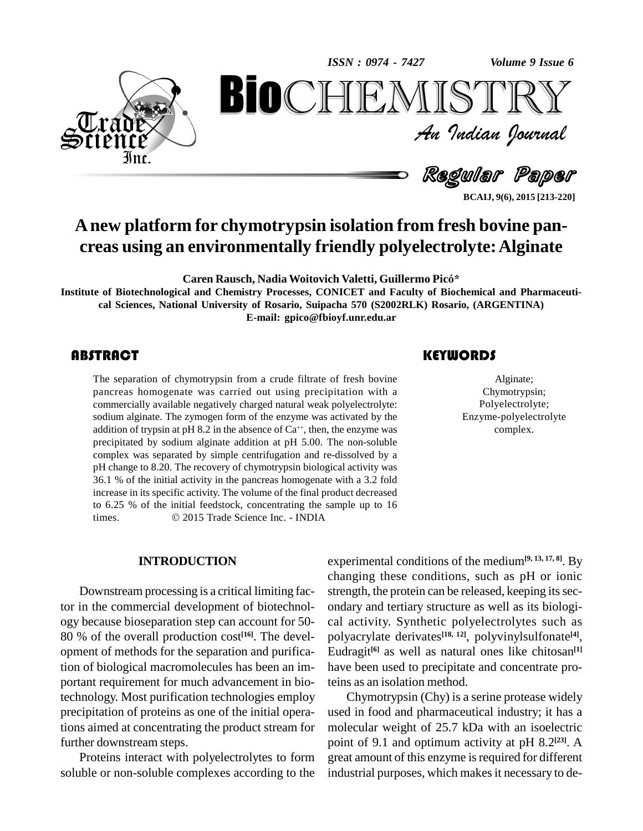

*Volume 9 Issue 6*<br> $\begin{array}{c} \text{Volume 9 Issue 6} \\ \text{S T R Y} \end{array}$ **BioCHEMISTRY**<br>
Au Indian Journal<br>
Regular Paper<br>
Regular Paper<br>
Regular Paper<br>
Regular Paper<br>
Regular Paper<br>
Regular Paper<br>
Regular Paper<br>
Regular Reper<br>
Regular Reper<br>
Regular Reper<br>
Result, 960, 2015 [213-220] An Indian Journal<br>Regullar Paper

**BCAIJ, 9(6), 2015 [213-220]**

# **Anew platform for chymotrypsin isolation from fresh bovine pan creas using an environmentally friendly polyelectrolyte:Alginate Caren Rausch, Nadia Woitovich Valetti, Guillermo PicÛ\***

**Institute of Biotechnological and Chemistry Processes, CONICET and Faculty ofBiochemical and Pharmaceuti cal Sciences, National University ofRosario, Suipacha 570 (S2002RLK) Rosario, (ARGENTINA) E-mail: [gpico@fbioyf.unr.edu.ar](mailto:gpico@fbioyf.unr.edu.ar)**

The separation of chymotrypsin from a crude filtrate of fresh bovine pancreas homogenate was carried out using precipitation with a commercially available negatively charged natural weak polyelectrolyte: sodium alginate. The zymogen form of the enzyme was activated by the addition of trypsin at pH 8.2 in the absence of  $Ca^{++}$ , then, the enzyme was precipitated by sodium alginate addition at pH 5.00. The non-soluble complex was separated by simple centrifugation and re-dissolved by a pH change to 8.20. The recovery of chymotrypsin biological activity was 36.1 % of the initial activity in the pancreas homogenate with a 3.2 fold increase in its specific activity. The volume of the final product decreased to 6.25 % of the initial feedstock, concentrating the sample up to 16 increase in its specific activity. The volume of the final product decreato 6.25 % of the initial feedstock, concentrating the sample up to times.  $\textcircled{2015}$  Trade Science Inc. - INDIA The separation of chymotrypsin from a crude filtrate of fresh bovine<br>
pancreas homogenate was carried out using precipitation with a Chymotrypsir<br>
commercially available negatively charged natural weak polyelectrolyte: Pol

Alginate; Chymotrypsin; Polyelectrolyte; Enzyme-polyelectrolyte complex.

#### **INTRODUCTION**

Downstream processing is a critical limiting factor in the commercial development of biotechnol ogy because bioseparation step can account for 50- 80 % of the overall production cost **[16]**. The devel opment of methods for the separation and purification of biological macromolecules has been an im portant requirement for much advancement in biotechnology. Most purification technologies employ precipitation of proteins as one of the initial operations aimed at concentrating the product stream for further downstream steps.

Proteins interact with polyelectrolytes to form soluble or non-soluble complexes according to the

experimental conditions of the medium**[9, 13, 17, 8]**. By changing these conditions, such as pH or ionic strength, the protein can be released, keeping its secondary and tertiary structure as well as its biologi cal activity. Synthetic polyelectrolytes such as polyacrylate derivates **[18, 12]**, polyvinylsulfonate **[4]**, Eudragit **[6]** as well as natural ones like chitosan **[1]** have been used to precipitate and concentrate proteins as an isolation method.

Chymotrypsin (Chy) is a serine protease widely used in food and pharmaceutical industry; it has a molecular weight of 25.7 kDa with an isoelectric point of 9.1 and optimum activity at pH 8.2 **[23]**. A great amount of this enzyme is required for different industrial purposes, which makes it necessary to de-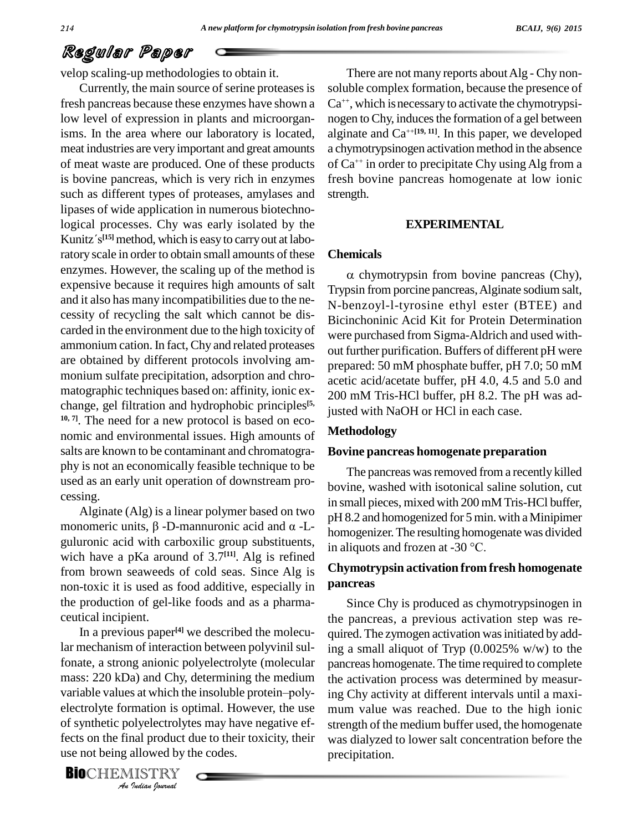velop scaling-up methodologies to obtain it.

Currently, the main source of serine proteases is fresh pancreas because these enzymes have shown a low level of expression in plants and microorganisms. In the area where our laboratory is located, meat industries are very important and great amounts of meat waste are produced. One of these products is bovine pancreas, which is very rich in enzymes such as different types of proteases, amylases and lipases of wide application in numerous biotechnological processes. Chy was early isolated by the lipases of wide<br>logical process<br>Kunitz´s<sup>[15]</sup> meth Kunitz's<sup>[15]</sup> method, which is easy to carry out at laboratory scale in order to obtain small amounts of these enzymes. However, the scaling up of the method is expensive because it requires high amounts of salt and it also has many incompatibilities due to the ne cessity of recycling the salt which cannot be discarded in the environment due to the high toxicity of ammonium cation. In fact, Chy and related proteases are obtained by different protocols involving am monium sulfate precipitation, adsorption and chro matographic techniques based on: affinity, ionic ex change, gel filtration and hydrophobic principles **[5, 10, 7]**. The need for a new protocol is based on eco nomic and environmental issues. High amounts of salts are known to be contaminant and chromatogra phy is not an economically feasible technique to be used as an early unit operation of downstream pro cessing.

Alginate (Alg) is a linear polymer based on two  $\frac{m \sin \theta}{nH}$ cessing.<br>Alginate (Alg) is a linear polymer based on two<br>monomeric units,  $\beta$ -D-mannuronic acid and  $\alpha$ -Lguluronic acid with carboxilic group substituents, in aliquots and frozen at  $-30^{\circ}$ C. wich have a pKa around of  $3.7<sup>[11]</sup>$ . Alg is refined from brown seaweeds of cold seas. Since Alg is non-toxic it is used as food additive, especially in the production of gel-like foods and as a pharma ceutical incipient.

variable values at which the insoluble protein-poly-*Indian Indian*<br>*Indian Indian*<br>*Indian Poetical*<br>*I*ndian *Poetical* In a previous paper **[4]** we described the molecular mechanism of interaction between polyvinil sulfonate, a strong anionic polyelectrolyte (molecular mass: 220 kDa) and Chy, determining the medium the activation fonate, a strong anionic polyelectrolyte (molecular pan<br>mass: 220 kDa) and Chy, determining the medium the<br>variable values at which the insoluble protein–poly- ing electrolyte formation is optimal. However, the use of synthetic polyelectrolytes may have negative effects on the final product due to their toxicity, their use not being allowed by the codes.

There are not many reports about Alg - Chy nonsoluble complex formation, because the presence of Ca<sup>++</sup>, which is necessary to activate the chymotrypsinogen to Chy, induces the formation of a gel between alginate and Ca ++**[19, 11]**. In this paper, we developed a chymotrypsinogen activation method in the absence of Ca ++ in order to precipitate Chy usingAlg from a fresh bovine pancreas homogenate at low ionic strength.

#### **EXPERIMENTAL**

#### **Chemicals**

 $\alpha$  chymotrypsin from bovine pancreas (Chy), Trypsin from porcine pancreas,Alginate sodium salt, N-benzoyl-l-tyrosine ethyl ester (BTEE) and Bicinchoninic Acid Kit for Protein Determination were purchased from Sigma-Aldrich and used with out further purification. Buffers of different pH were prepared: 50 mM phosphate buffer, pH 7.0; 50 mM acetic acid/acetate buffer, pH 4.0, 4.5 and 5.0 and 200 mM Tris-HCl buffer, pH 8.2. The pH was adjusted with NaOH or HCl in each case.

#### **Methodology**

#### **Bovine pancreas homogenate preparation**

The pancreas was removed from a recently killed bovine, washed with isotonical saline solution, cut in small pieces, mixed with 200 mM Tris-HCl buffer, pH 8.2 and homogenized for 5 min. with aMinipimer homogenizer.The resulting homogenate was divided pH 8.2 and homogenized for 5 min. with<br>omogenizer. The resulting homogena<br>in aliquots and frozen at -30 °C.

### **Chymotrypsin activation from fresh homogenate pancreas**

Since Chy is produced as chymotrypsinogen in the pancreas, a previous activation step was re quired. The zymogen activation was initiated by adding a small aliquot of Tryp (0.0025% w/w) to the pancreas homogenate. The time required to complete the activation process was determined by measuring Chy activity at different intervals until a maxi mum value was reached. Due to the high ionic strength of the medium buffer used, the homogenate was dialyzed to lower salt concentration before the precipitation.

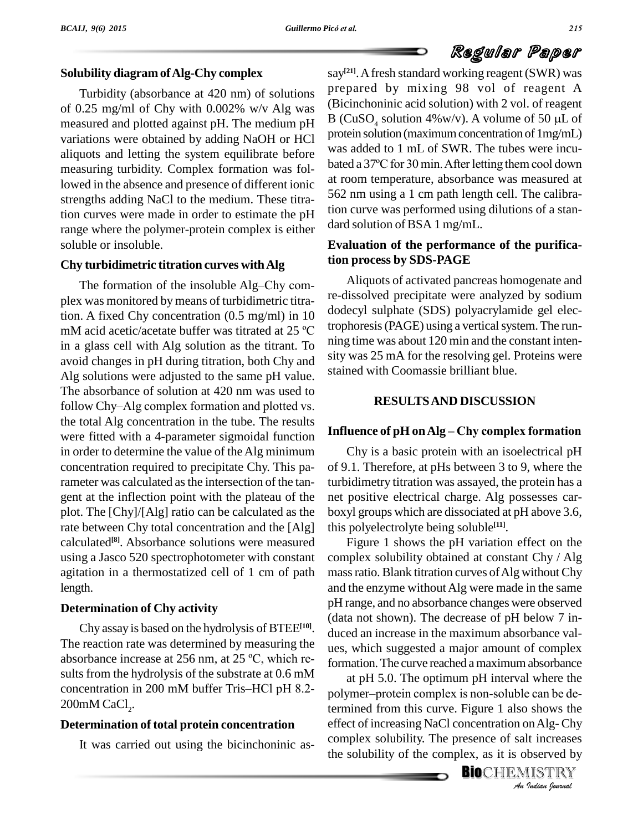#### **Solubility diagram ofAlg-Chy complex**

Turbidity (absorbance at 420 nm) of solutions measured and plotted against pH. The medium pH variations were obtained by adding NaOH or HCl aliquots and letting the system equilibrate before was added to 1 fill of  $\frac{1}{2}$  swk. The three were filter-<br>measuring turbidity. Complex formation was followed a 37°C for 30 min. After letting them cool down measuring turbidity. Complex formation was followed in the absence and presence of different ionic strengths adding NaCl to the medium. These titration curves were made in order to estimate the pH range where the polymer-protein complex is either soluble or insoluble.

#### **Chy turbidimetric titration curves withAlg**

The formation of the insoluble Alg–Chy complex was monitored by means of turbidimetric titra-<br>tion. A fixed Chy concentration (0.5 mg/ml) in 10 dodecyl s<br>mM acid acetic/acetate buffer was titrated at 25 °C trophoresi tion. A fixed Chy concentration (0.5 mg/ml) in 10 in a glass cell with Alg solution as the titrant. To avoid changes in pH during titration, both Chy and Alg solutions were adjusted to the same pH value. <sup>Stall</sup><br>The absorbance of solution at 420 nm was used to<br>follow Chy–Alg complex formation and plotted vs. The absorbance of solution at 420 nm was used to the total Alg concentration in the tube. The results were fitted with a 4-parameter sigmoidal function in order to determine the value of theAlg minimum concentration required to precipitate Chy. This parameter was calculated as the intersection of the tangent at the inflection point with the plateau of the plot. The [Chy]/[Alg] ratio can be calculated as the rate between Chy total concentration and the [Alg] calculated **[8]**. Absorbance solutions were measured using a Jasco 520 spectrophotometer with constant agitation in a thermostatized cell of 1 cm of path length.

#### **Determination of Chy activity**

Chy assay is based on the hydrolysis of  $BTEE^{[10]}$ .  $\hat{d}$ The reaction rate was determined by measuring the  $\theta$ Chy assay is based on the hydrolysis of BTEE<sup>[10]</sup>.<br>The reaction rate was determined by measuring the uses<br>absorbance increase at 256 nm, at 25 °C, which results from the hydrolysis of the substrate at 0.6 mM absorbance increase at 256 nm, at 25 °C, which results from the hydrolysis of the substrate at 0.6 mM concentration in 200 mM buffer Tris–HCl pH 8.2- $200$ mM CaCl<sub>2</sub>.

#### **Determination of total protein concentration**

It was carried out using the bicinchoninic as-

of 0.25 mg/ml of Chy with 0.002% w/v Alg was<br>measured and plotted against pH. The medium pH. B (CuSO, solution 4%w/v). A volume of 50  $\mu$ L of say **[21]**.Afresh standard working reagent (SWR) was prepared by mixing 98 vol of reagent A (Bicinchoninic acid solution) with 2 vol. of reagent prepared by mixing 98 vol of reagent A<br>(Bicinchoninic acid solution) with 2 vol. of reagent<br>B (CuSO<sub>4</sub> solution 4%w/v). A volume of 50 µL of protein solution (maximum concentration of 1mg/mL)<br>was added to 1 mL of SWR. The tubes were incu-<br>bated a 37°C for 30 min. After letting them cool down was added to 1 mL of SWR. The tubes were incu at room temperature, absorbance was measured at 562 nm using a 1 cm path length cell. The calibration curve was performed using dilutions of a stan dard solution of BSA 1 mg/mL.

### **Evaluation of the performance of the purification process by SDS-PAGE**

Aliquots of activated pancreas homogenate and re-dissolved precipitate were analyzed by sodium dodecyl sulphate (SDS) polyacrylamide gel electrophoresis (PAGE) using a vertical system. The running time was about 120 min and the constant inten sity was 25 mA for the resolving gel. Proteins were stained with Coomassie brilliant blue.

#### **RESULTSAND DISCUSSION**

#### **Influence of pH onAlg <sup>ñ</sup> Chy complex formation**

Chy is a basic protein with an isoelectrical pH of 9.1. Therefore, at pHs between 3 to 9, where the turbidimetry titration was assayed, the protein has a net positive electrical charge. Alg possesses car boxyl groups which are dissociated at pH above 3.6, this polyelectrolyte being soluble **[11]**.

Figure 1 shows the pH variation effect on the complex solubility obtained at constant Chy / Alg mass ratio. Blank titration curves of Alg without Chy and the enzyme withoutAlg were made in the same pH range, and no absorbance changes were observed (data not shown). The decrease of pH below 7 in duced an increase in the maximum absorbance val ues, which suggested a major amount of complex

polymer-protein complex is non-soluble can be de-*I* can be de-<br> **In Alg-Chy**<br>
It increases<br>
bserved by<br>
IISTRY<br> *Indian Sournal* formation. The curve reached a maximum absorbance<br>at pH 5.0. The optimum pH interval where the<br>polymer–protein complex is non-soluble can be deat pH 5.0. The optimum pH interval where the termined from this curve. Figure 1 also shows the effect of increasing NaCl concentration onAlg- Chy complex solubility. The presence of salt increases the solubility of the complex, as it is observed by

**BIO**CHEMISTRY<br>An Indian Journal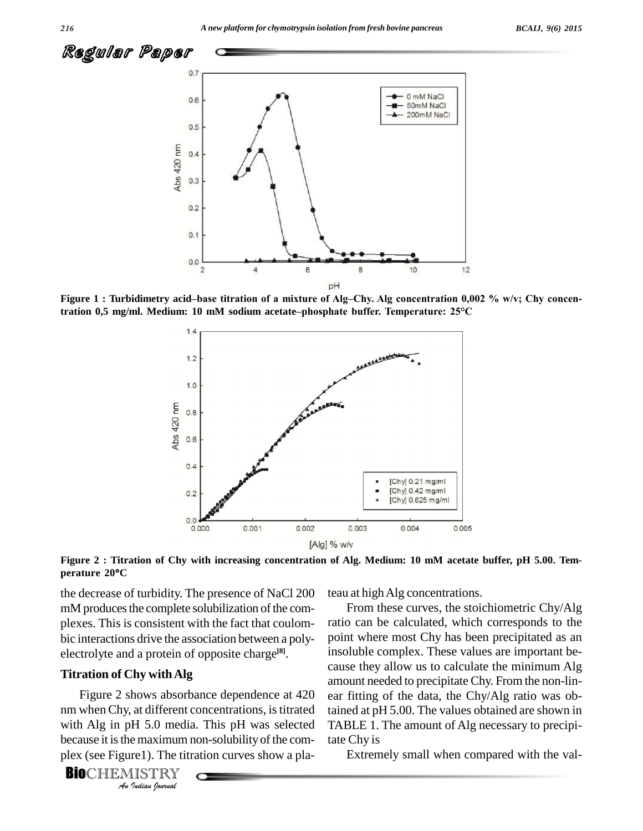

**tration 0,5 mg/ml. Medium: <sup>10</sup> mM sodium acetateñphosphate buffer. Temperature: 25°C**



Figure 2 : Titration of Chy with increasing concentration of Alg. Medium: 10 mM acetate buffer, pH 5.00. Tem**perature <sup>20</sup><sup>C</sup>**

the decrease of turbidity. The presence of NaCl 200 mM produces the complete solubilization of the complexes. This is consistent with the fact that coulom bic interactions drive the association between a poly electrolyte and a protein of opposite charge **[8]**.

#### **Titration of Chy withAlg**

Figure 2 shows absorbance dependence at 420 ear fitt *Indian Journal* nm when Chy, at different concentrations, is titrated with Alg in pH 5.0 media. This pH was selected because it is the maximum non-solubility of the complex (see Figure1). The titration curves show a pla-

**BIO**CHEMISTRY

teau at high Alg concentrations.

From these curves, the stoichiometric Chy/Alg ratio can be calculated, which corresponds to the point where most Chy has been precipitated as an insoluble complex. These values are important be cause they allow us to calculate the minimum Alg amount needed to precipitateChy. From the non-lin ear fitting of the data, the Chy/Alg ratio was obtained at pH 5.00. The values obtained are shown in TABLE 1. The amount of Alg necessary to precipitate Chy is

Extremely small when compared with the val-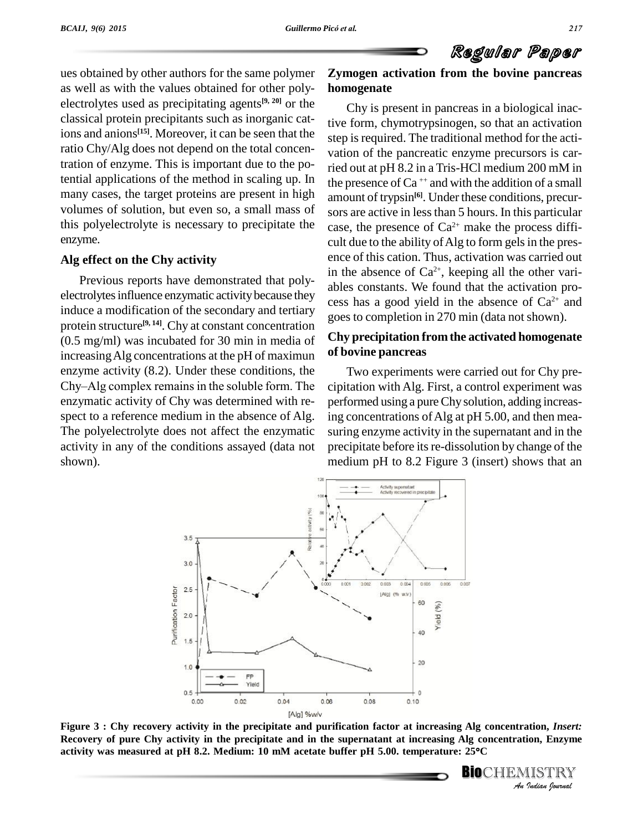

ues obtained by other authors for the same polymer as well as with the values obtained for other poly electrolytes used as precipitating agents<sup>[9, 20]</sup> or the  $\qquad \qquad \cap$ classical protein precipitants such as inorganic cations and anions<sup>[15]</sup>. Moreover, it can be seen that the step is ratio Chy/Alg does not depend on the total concentration of enzyme. This is important due to the potential applications of the method in scaling up. In many cases, the target proteins are present in high volumes of solution, but even so, a small mass of this polyelectrolyte is necessary to precipitate the enzyme.

#### **Alg effect on the Chy activity**

Previous reports have demonstrated that poly electrolytes influence enzymatic activity because they induce a modification of the secondary and tertiary protein structure **[9, 14]**. Chy at constant concentration (0.5 mg/ml) was incubated for 30 min in media of increasing Alg concentrations at the pH of maximun of bovincenzyme activity (8.2). Under these conditions, the Two Chy–Alg complex remains in the soluble form. The cipitation enzyme activity (8.2). Under these conditions, the enzymatic activity of Chy was determined with re spect to a reference medium in the absence of Alg. The polyelectrolyte does not affect the enzymatic activity in any of the conditions assayed (data not shown).

### **Zymogen activation from the bovine pancreas homogenate**

Chy is present in pancreas in a biological inactive form, chymotrypsinogen, so that an activation step is required. The traditional method for the activation of the pancreatic enzyme precursors is carried out at pH 8.2 in a Tris-HCl medium 200 mM in the presence of  $Ca^{++}$  and with the addition of a small amount of trypsin<sup>[6]</sup>. Under these conditions, precursors are active in less than 5 hours. In this particular case, the presence of  $Ca^{2+}$  make the process difficult due to the ability of Alg to form gels in the presence of this cation. Thus, activation was carried out in the absence of  $Ca^{2+}$ , keeping all the other variables constants. We found that the activation pro cess has a good yield in the absence of  $Ca^{2+}$  and goes to completion in 270 min (data not shown).

### **Chy precipitation fromthe activated homogenate of bovine pancreas**

Two experiments were carried out for Chy pre cipitation with Alg. First, a control experiment was performed using a pureChy solution, adding increasing concentrations ofAlg at pH 5.00, and then mea suring enzyme activity in the supernatant and in the precipitate before its re-dissolution by change of the medium pH to 8.2 Figure 3 (insert) shows that an



**1110011**<br>**I**ISTRY<br>IISTRY<br>*Indian <sup>g</sup>ournal* Figure 3 : Chy recovery activity in the precipitate and purification factor at increasing Alg concentration, *Insert:*<br>Recovery of pure Chy activity in the precipitate and in the supernatant at increasing Alg concentration **Recovery ofpure Chy activity in the precipitate and in the supernatant at increasing Alg concentration, Enzyme**

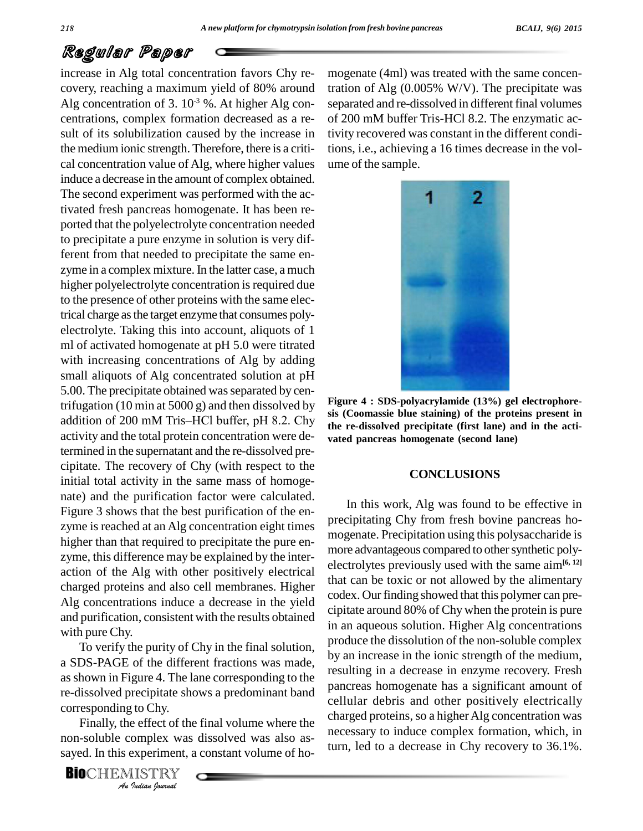increase in Alg total concentration favors Chy re covery, reaching a maximum yield of 80% around Alg concentration of 3.  $10^{-3}$  %. At higher Alg con-separation centrations, complex formation decreased as a re sult of its solubilization caused by the increase in the medium ionic strength. Therefore, there is a criti cal concentration value of Alg, where higher values induce a decrease in the amount of complex obtained. The second experiment was performed with the activated fresh pancreas homogenate. It has been re ported that the polyelectrolyte concentration needed to precipitate a pure enzyme in solution is very different from that needed to precipitate the same en zyme in a complex mixture. In the latter case, a much higher polyelectrolyte concentration is required due to the presence of other proteins with the same electrical charge asthe target enzyme that consumes poly electrolyte. Taking this into account, aliquots of 1 ml of activated homogenate at pH 5.0 were titrated with increasing concentrations of Alg by adding small aliquots of Alg concentrated solution at pH 5.00. The precipitate obtained was separated by centrifugation (10 min at 5000 g) and then dissolved by addition of 200 mM Tris-HCl buffer, pH 8.2. Chy activity and the total protein concentration were determined in the supernatant and the re-dissolved pre cipitate. The recovery of Chy (with respect to the initial total activity in the same mass of homoge nate) and the purification factor were calculated. Figure 3 shows that the best purification of the en zyme is reached at an Alg concentration eight times higher than that required to precipitate the pure en zyme, this difference may be explained by the inter action of the Alg with other positively electrical charged proteins and also cell membranes. Higher Alg concentrations induce a decrease in the yield and purification, consistent with the results obtained with pure Chy.

re-dissolved precipitate shows a predominant band pancre To verify the purity of Chy in the final solution, a SDS-PAGE of the different fractions was made, asshown in Figure 4. The lane corresponding to the corresponding to Chy.

*I*<br>*I* to Chy.<br> *P* effect of the omplex was<br> *Pudian Iournal* Finally, the effect of the final volume where the non-soluble complex was dissolved was also as sayed. In this experiment, a constant volume of ho-

**BIO**CHEMISTRY

mogenate (4ml) was treated with the same concentration of Alg  $(0.005\% \text{ W/V})$ . The precipitate was separated and re-dissolved in different final volumes of 200 mM buffer Tris-HCl 8.2. The enzymatic activity recovered was constant in the different conditions, i.e., achieving a 16 times decrease in the vol ume of the sample.



**Figure 4 : SDS-polyacrylamide (13%) gel electrophore sis (Coomassie blue staining) of the proteins present in the re-dissolved precipitate (first lane) and in the acti vated pancreas homogenate (second lane)**

#### **CONCLUSIONS**

In this work, Alg was found to be effective in precipitating Chy from fresh bovine pancreas ho mogenate. Precipitation using this polysaccharide is more advantageous compared to other synthetic polyelectrolytes previously used with the same aim**[6, 12]** that can be toxic or not allowed by the alimentary codex. Our finding showed that this polymer can precipitate around 80% of Chy when the protein is pure in an aqueous solution. Higher Alg concentrations produce the dissolution of the non-soluble complex by an increase in the ionic strength of the medium, resulting in a decrease in enzyme recovery. Fresh pancreas homogenate has a significant amount of cellular debris and other positively electrically charged proteins, so a higher Alg concentration was necessary to induce complex formation, which, in turn, led to a decrease in Chy recovery to 36.1%.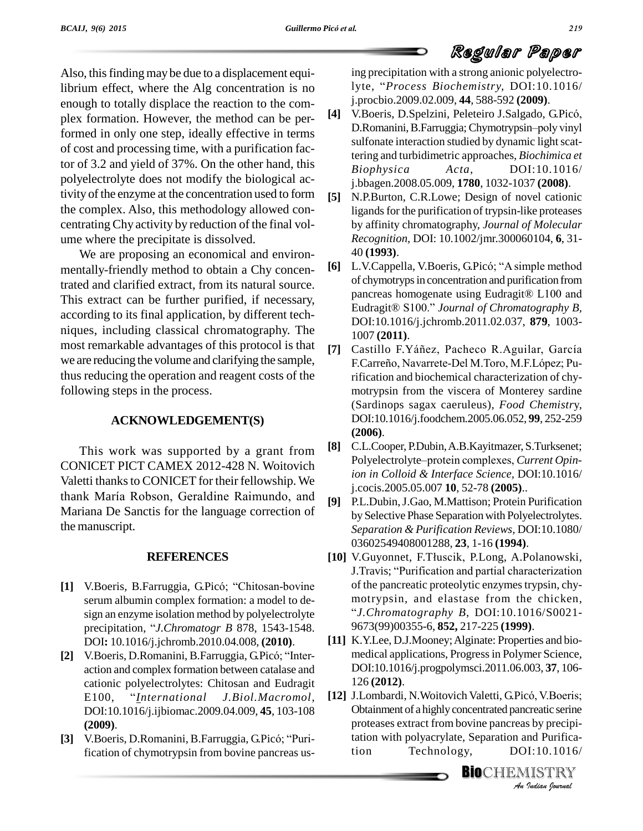Also, this finding may be due to a displacement equilibrium effect, where the Alg concentration is no enough to totally displace the reaction to the com plex formation. However, the method can be performed in only one step, ideally effective in terms D.Romanini, B.Farruggia; Chymotrypsin-poly vinyl of cost and processing time, with a purification factor of 3.2 and yield of 37%. On the other hand, this Biophysica polyelectrolyte does not modify the biological activity of the enzyme at the concentration used to form [5] the complex. Also, this methodology allowed con centrating Chy activity by reduction of the final vol ume where the precipitate is dissolved.

We are proposing an economical and environ mentally-friendly method to obtain a Chy concentrated and clarified extract, from its natural source. This extract can be further purified, if necessary, according to its final application, by different tech niques, including classical chromatography. The most remarkable advantages of this protocol is that we are reducing the volume and clarifying the sample, thus reducing the operation and reagent costs of the following steps in the process.

### **ACKNOWLEDGEMENT(S)**

This work was supported by a grant from CONICET PICT CAMEX 2012-428 N. Woitovich Valetti thanks to CONICET for their fellowship. We thank María Robson, Geraldine Raimundo, and Mariana De Sanctis for the language correction of the manuscript.

#### **REFERENCES**

- [1] V.Boeris, B.Farruggia, G.Picó; "Chitosan-bovine" serum albumin complex formation: a model to de sign an enzyme isolation method by polyelectrolyte precipitation, *i a* model to design an enzyme isolation method by polyelectrolyte precipitation, *"J.Chromatogr B* 878, 1543-1548. DOI**:** 10.1016/j.jchromb.2010.04.008, **(2010)**. precipitation, "*J.Chromatogr B* 878, 1543-1548.<br>
DOI: 10.1016/j.jchromb.2010.04.008, (2010). [11]<br>
[2] V.Boeris, D.Romanini, B.Farruggia, G.Picó; "Inter-
- action and complex formation between catalase and<br>
cationic polyelectrolytes: Chitosan and Eudragit<br>
E100, <sup>*''*</sup>*International J.Biol.Macromol*, [12] J. cationic polyelectrolytes: Chitosan and Eudragit DOI:10.1016/j.ijbiomac.2009.04.009, **45**, 103-108 **(2009)**.
- [3] V.Boeris, D.Romanini, B.Farruggia, G.Picó; "Purification of chymotrypsin from bovine pancreas us-

ing precipitation with a strong anionic polyelectrolyte, <sup>ì</sup>*Process Biochemistry,* DOI:10.1016/ j.procbio.2009.02.009, **44**, 588-592 **(2009)**. 1yte, "*Process Biochemistry*, DOI:10.1016/<br>j.procbio.2009.02.009, **44**, 588-592 (**2009**).<br>[4] V.Boeris, D.Spelzini, Peleteiro J.Salgado, G.Picó,

- j.procbio.2009.02.009, **44**, 588-592 (**2009**).<br>V.Boeris, D.Spelzini, Peleteiro J.Salgado, G.Picó,<br>D.Romanini, B.Farruggia; Chymotrypsin–poly vinyl sulfonate interaction studied by dynamic light scattering and turbidimetric approaches, *Biochimica et Biophysica Acta,* DOI:10.1016/ j.bbagen.2008.05.009, **1780**, 1032-1037 **(2008)**.
- N.P.Burton, C.R.Lowe; Design of novel cationic ligands for the purification of trypsin-like proteases by affinity chromatography, *Journal of Molecular Recognition, DOI: 10.1002/jmr.300060104, 6, 31-* **40 (1993)**.<br>**[6]** L.V.Cappella, V.Boeris, G.Picó; "A simple method 40 **(1993)**.
- of chymotryps in concentration and purification from L.V.Cappella, V.Boeris, G.Picó; "A simple method<br>of chymotryps in concentration and purification from<br>pancreas homogenate using Eudragit® L100 and of chymotryps in concentration and purification from<br>pancreas homogenate using Eudragit® L100 and<br>Eudragit® S100." Journal of Chromatography B, DOI:10.1016/j.jchromb.2011.02.037, **879**, 1003- 1007 **(2011)**. **DOI**:10.1016/j.jchromb.2011.02.037, **879**, 1003-<br>1007 (**2011**).<br>**[7]** Castillo F.Yáñez, Pacheco R.Aguilar, García
- 1007 (**2011**).<br>Castillo F.Yáñez, Pacheco R.Aguilar, García<br>F.Carreño, Navarrete-Del M.Toro, M.F.López; Purification and biochemical characterization of chy motrypsin from the viscera of Monterey sardine (Sardinops sagax caeruleus), *Food Chemistr*y, DOI:10.1016/j.foodchem.2005.06.052, **99**, 252-259 **(2006)**.
- **[8]** C.L.Cooper, P.Dubin,A.B.Kayitmazer, S.Turksenet; Polyelectrolyte-protein complexes, *Current Opinion in Colloid & Interface Science,* DOI:10.1016/ j.cocis.2005.05.007 **10**, 52-78 **(2005)**..
- **[9]** P.L.Dubin,J.Gao, M.Mattison; Protein Purification by Selective Phase Separation with Polyelectrolytes. *Separation & Purification Reviews,* DOI:10.1080/ 03602549408001288, **23**, 1-16 **(1994)**.
- [10] V.Guyonnet, F.Tłuscik, P.Long, A.Polanowski, J.Travis; "Purification and partial characterization of the pancreatic proteolytic enzymes trypsin, chymotrypsin, and elastase from the chicken, *"J.Chromatography B, DOI:10.1016/S0021-*9673(99)00355-6, **852,** 217-225 **(1999)**.
- **DOI**:10.1016/j.progpolymsci.2011.06.003, **37**, 106-<br>126 (**2012**).<br>**[12]** J.Lombardi, N.Woitovich Valetti, G.Picó, V.Boeris; **[11]** K.Y.Lee, D.J.Mooney;Alginate: Properties and bio medical applications, Progressin Polymer Science, DOI:10.1016/j.progpolymsci.2011.06.003, **37**, 106- 126 **(2012)**.
- <sup>20</sup>, V.Boeris;<br>*Indian* Purification<br>*I* 10.1016/<br>IISTRY<br>*Indian houvual* Obtainment of a highly concentrated pancreatic serine proteases extract from bovine pancreas by precipitation with polyacrylate, Separation and Purification Technology, DOI:10.1016/

**BIO**CHEMISTRY<br>An Indian Journal